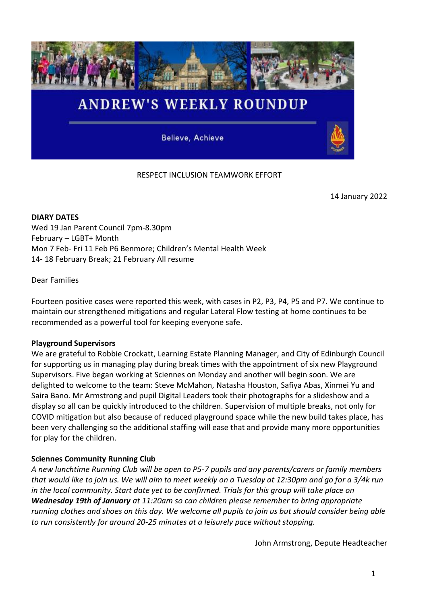

Believe, Achieve

# RESPECT INCLUSION TEAMWORK EFFORT

14 January 2022

**DIARY DATES** Wed 19 Jan Parent Council 7pm-8.30pm February – LGBT+ Month Mon 7 Feb- Fri 11 Feb P6 Benmore; Children's Mental Health Week 14- 18 February Break; 21 February All resume

Dear Families

Fourteen positive cases were reported this week, with cases in P2, P3, P4, P5 and P7. We continue to maintain our strengthened mitigations and regular Lateral Flow testing at home continues to be recommended as a powerful tool for keeping everyone safe.

### **Playground Supervisors**

We are grateful to Robbie Crockatt, Learning Estate Planning Manager, and City of Edinburgh Council for supporting us in managing play during break times with the appointment of six new Playground Supervisors. Five began working at Sciennes on Monday and another will begin soon. We are delighted to welcome to the team: Steve McMahon, Natasha Houston, Safiya Abas, Xinmei Yu and Saira Bano. Mr Armstrong and pupil Digital Leaders took their photographs for a slideshow and a display so all can be quickly introduced to the children. Supervision of multiple breaks, not only for COVID mitigation but also because of reduced playground space while the new build takes place, has been very challenging so the additional staffing will ease that and provide many more opportunities for play for the children.

# **Sciennes Community Running Club**

*A new lunchtime Running Club will be open to P5-7 pupils and any parents/carers or family members that would like to join us. We will aim to meet weekly on a Tuesday at 12:30pm and go for a 3/4k run in the local community. Start date yet to be confirmed. Trials for this group will take place on Wednesday 19th of January at 11:20am so can children please remember to bring appropriate running clothes and shoes on this day. We welcome all pupils to join us but should consider being able to run consistently for around 20-25 minutes at a leisurely pace without stopping.*

John Armstrong, Depute Headteacher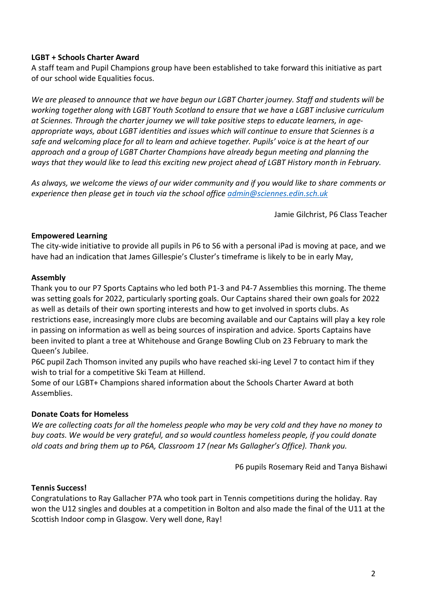# **LGBT + Schools Charter Award**

A staff team and Pupil Champions group have been established to take forward this initiative as part of our school wide Equalities focus.

*We are pleased to announce that we have begun our LGBT Charter journey. Staff and students will be working together along with LGBT Youth Scotland to ensure that we have a LGBT inclusive curriculum at Sciennes. Through the charter journey we will take positive steps to educate learners, in ageappropriate ways, about LGBT identities and issues which will continue to ensure that Sciennes is a safe and welcoming place for all to learn and achieve together. Pupils' voice is at the heart of our approach and a group of LGBT Charter Champions have already begun meeting and planning the ways that they would like to lead this exciting new project ahead of LGBT History month in February.*

*As always, we welcome the views of our wider community and if you would like to share comments or experience then please get in touch via the school office [admin@sciennes.edin.sch.uk](mailto:admin@sciennes.edin.sch.uk)*

Jamie Gilchrist, P6 Class Teacher

## **Empowered Learning**

The city-wide initiative to provide all pupils in P6 to S6 with a personal iPad is moving at pace, and we have had an indication that James Gillespie's Cluster's timeframe is likely to be in early May,

## **Assembly**

Thank you to our P7 Sports Captains who led both P1-3 and P4-7 Assemblies this morning. The theme was setting goals for 2022, particularly sporting goals. Our Captains shared their own goals for 2022 as well as details of their own sporting interests and how to get involved in sports clubs. As restrictions ease, increasingly more clubs are becoming available and our Captains will play a key role in passing on information as well as being sources of inspiration and advice. Sports Captains have been invited to plant a tree at Whitehouse and Grange Bowling Club on 23 February to mark the Queen's Jubilee.

P6C pupil Zach Thomson invited any pupils who have reached ski-ing Level 7 to contact him if they wish to trial for a competitive Ski Team at Hillend.

Some of our LGBT+ Champions shared information about the Schools Charter Award at both Assemblies.

# **Donate Coats for Homeless**

*We are collecting coats for all the homeless people who may be very cold and they have no money to buy coats. We would be very grateful, and so would countless homeless people, if you could donate old coats and bring them up to P6A, Classroom 17 (near Ms Gallagher's Office). Thank you.*

P6 pupils Rosemary Reid and Tanya Bishawi

### **Tennis Success!**

Congratulations to Ray Gallacher P7A who took part in Tennis competitions during the holiday. Ray won the U12 singles and doubles at a competition in Bolton and also made the final of the U11 at the Scottish Indoor comp in Glasgow. Very well done, Ray!